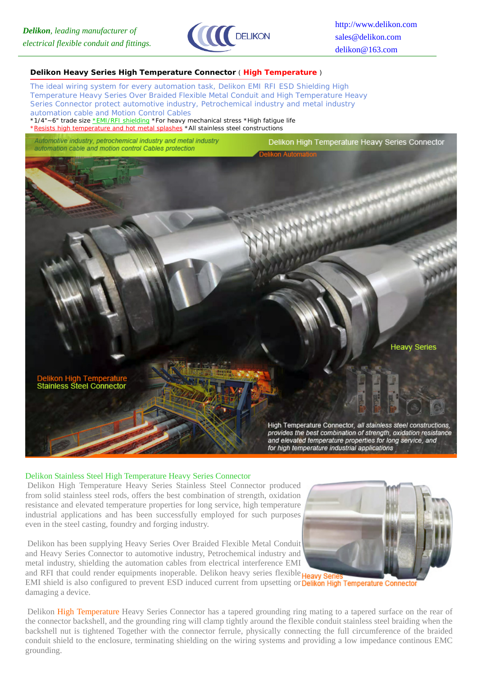

#### **Delikon Heavy Series High Temperature Connector** ( **High Temperature** )

*The ideal wiring system for every automation task, Delikon EMI RFI ESD Shielding High Temperature Heavy Series Over Braided Flexible Metal Conduit and High Temperature Heavy Series Connector protect automotive industry, Petrochemical industry and metal industry automation cable and Motion Control Cables*

\*1/4"~6" trade size \*EMI/RFI shielding \*For heavy mechanical stress \*High fatigue life \*Resists high temperature and hot metal splashes \*All stainless steel constructions

Automotive industry, petrochemical industry and metal industry automation cable and motion control Cables protection





## Delikon Stainless Steel High Temperature Heavy Series Connector

 Delikon High Temperature Heavy Series Stainless Steel Connector produced from solid stainless steel rods, offers the best combination of strength, oxidation resistance and elevated temperature properties for long service, high temperature industrial applications and has been successfully employed for such purposes even in the steel casting, foundry and forging industry.

 Delikon has been supplying Heavy Series Over Braided Flexible Metal Conduit and Heavy Series Connector to automotive industry, Petrochemical industry and metal industry, shielding the automation cables from electrical interference EMI and RFI that could render equipments inoperable. Delikon heavy series flexible **Heavy Series** 

EMI shield is also configured to prevent ESD induced current from upsetting or **Delikon High Temperature Connector** damaging a device.

 Delikon High Temperature Heavy Series Connector has a tapered grounding ring mating to a tapered surface on the rear of the connector backshell, and the grounding ring will clamp tightly around the flexible conduit stainless steel braiding when the backshell nut is tightened Together with the connector ferrule, physically connecting the full circumference of the braided conduit shield to the enclosure, terminating shielding on the wiring systems and providing a low impedance continous EMC grounding.